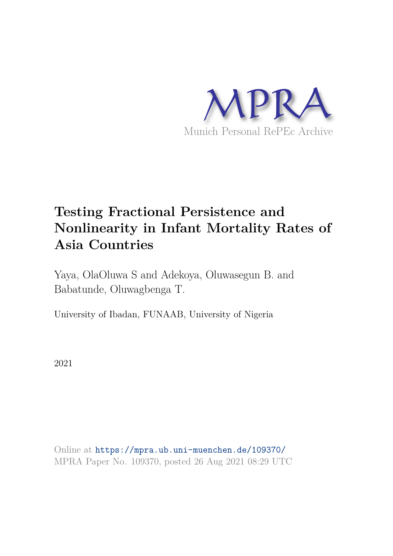

# **Testing Fractional Persistence and Nonlinearity in Infant Mortality Rates of Asia Countries**

Yaya, OlaOluwa S and Adekoya, Oluwasegun B. and Babatunde, Oluwagbenga T.

University of Ibadan, FUNAAB, University of Nigeria

2021

Online at https://mpra.ub.uni-muenchen.de/109370/ MPRA Paper No. 109370, posted 26 Aug 2021 08:29 UTC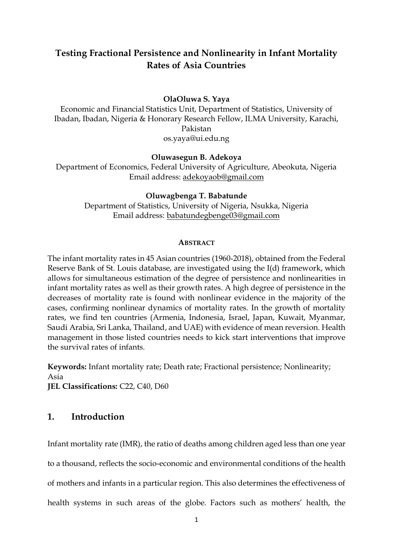# **Testing Fractional Persistence and Nonlinearity in Infant Mortality Rates of Asia Countries**

#### **OlaOluwa S. Yaya**

Economic and Financial Statistics Unit, Department of Statistics, University of Ibadan, Ibadan, Nigeria & Honorary Research Fellow, ILMA University, Karachi, Pakistan [os.yaya@ui.edu.ng](mailto:os.yaya@ui.edu.ng) 

#### **Oluwasegun B. Adekoya**

Department of Economics, Federal University of Agriculture, Abeokuta, Nigeria Email address: [adekoyaob@gmail.com](mailto:adekoyaob@gmail.com) 

#### **Oluwagbenga T. Babatunde**

Department of Statistics, University of Nigeria, Nsukka, Nigeria Email address: [babatundegbenge03@gmail.com](mailto:babatundegbenge03@gmail.com) 

#### **ABSTRACT**

The infant mortality rates in 45 Asian countries (1960-2018), obtained from the Federal Reserve Bank of St. Louis database, are investigated using the I(d) framework, which allows for simultaneous estimation of the degree of persistence and nonlinearities in infant mortality rates as well as their growth rates. A high degree of persistence in the decreases of mortality rate is found with nonlinear evidence in the majority of the cases, confirming nonlinear dynamics of mortality rates. In the growth of mortality rates, we find ten countries (Armenia, Indonesia, Israel, Japan, Kuwait, Myanmar, Saudi Arabia, Sri Lanka, Thailand, and UAE) with evidence of mean reversion. Health management in those listed countries needs to kick start interventions that improve the survival rates of infants.

**Keywords:** Infant mortality rate; Death rate; Fractional persistence; Nonlinearity; Asia **JEL Classifications:** C22, C40, D60

# **1. Introduction**

Infant mortality rate (IMR), the ratio of deaths among children aged less than one year

to a thousand, reflects the socio-economic and environmental conditions of the health

of mothers and infants in a particular region. This also determines the effectiveness of

health systems in such areas of the globe. Factors such as mothers' health, the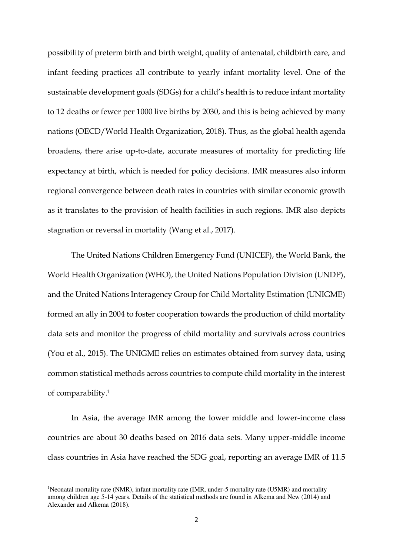possibility of preterm birth and birth weight, quality of antenatal, childbirth care, and infant feeding practices all contribute to yearly infant mortality level. One of the sustainable development goals (SDGs) for a child's health is to reduce infant mortality to 12 deaths or fewer per 1000 live births by 2030, and this is being achieved by many nations (OECD/World Health Organization, 2018). Thus, as the global health agenda broadens, there arise up-to-date, accurate measures of mortality for predicting life expectancy at birth, which is needed for policy decisions. IMR measures also inform regional convergence between death rates in countries with similar economic growth as it translates to the provision of health facilities in such regions. IMR also depicts stagnation or reversal in mortality (Wang et al., 2017).

The United Nations Children Emergency Fund (UNICEF), the World Bank, the World Health Organization (WHO), the United Nations Population Division (UNDP), and the United Nations Interagency Group for Child Mortality Estimation (UNIGME) formed an ally in 2004 to foster cooperation towards the production of child mortality data sets and monitor the progress of child mortality and survivals across countries (You et al., 2015). The UNIGME relies on estimates obtained from survey data, using common statistical methods across countries to compute child mortality in the interest of comparability.<sup>1</sup>

 In Asia, the average IMR among the lower middle and lower-income class countries are about 30 deaths based on 2016 data sets. Many upper-middle income class countries in Asia have reached the SDG goal, reporting an average IMR of 11.5

 $\overline{a}$ 

<sup>&</sup>lt;sup>1</sup>Neonatal mortality rate (NMR), infant mortality rate (IMR, under-5 mortality rate (U5MR) and mortality among children age 5-14 years. Details of the statistical methods are found in Alkema and New (2014) and Alexander and Alkema (2018).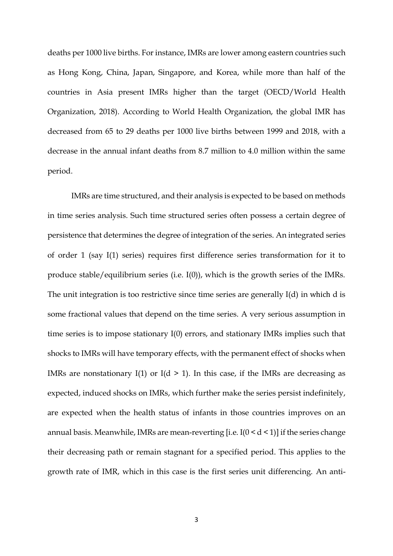deaths per 1000 live births. For instance, IMRs are lower among eastern countries such as Hong Kong, China, Japan, Singapore, and Korea, while more than half of the countries in Asia present IMRs higher than the target (OECD/World Health Organization, 2018). According to World Health Organization, the global IMR has decreased from 65 to 29 deaths per 1000 live births between 1999 and 2018, with a decrease in the annual infant deaths from 8.7 million to 4.0 million within the same period.

 IMRs are time structured, and their analysis is expected to be based on methods in time series analysis. Such time structured series often possess a certain degree of persistence that determines the degree of integration of the series. An integrated series of order 1 (say I(1) series) requires first difference series transformation for it to produce stable/equilibrium series (i.e. I(0)), which is the growth series of the IMRs. The unit integration is too restrictive since time series are generally I(d) in which d is some fractional values that depend on the time series. A very serious assumption in time series is to impose stationary I(0) errors, and stationary IMRs implies such that shocks to IMRs will have temporary effects, with the permanent effect of shocks when IMRs are nonstationary I(1) or I( $d > 1$ ). In this case, if the IMRs are decreasing as expected, induced shocks on IMRs, which further make the series persist indefinitely, are expected when the health status of infants in those countries improves on an annual basis. Meanwhile, IMRs are mean-reverting [i.e.  $I(0 \le d \le 1)$ ] if the series change their decreasing path or remain stagnant for a specified period. This applies to the growth rate of IMR, which in this case is the first series unit differencing. An anti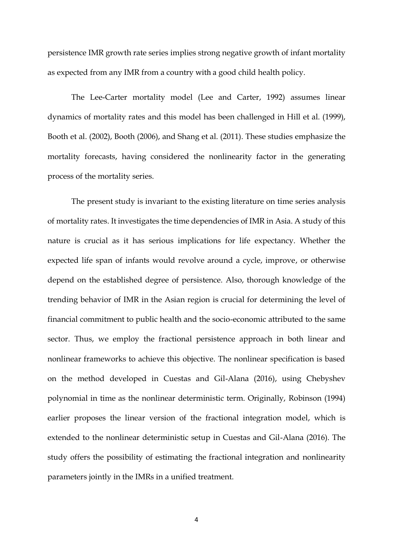persistence IMR growth rate series implies strong negative growth of infant mortality as expected from any IMR from a country with a good child health policy.

 The Lee-Carter mortality model (Lee and Carter, 1992) assumes linear dynamics of mortality rates and this model has been challenged in Hill et al. (1999), Booth et al. (2002), Booth (2006), and Shang et al. (2011). These studies emphasize the mortality forecasts, having considered the nonlinearity factor in the generating process of the mortality series.

 The present study is invariant to the existing literature on time series analysis of mortality rates. It investigates the time dependencies of IMR in Asia. A study of this nature is crucial as it has serious implications for life expectancy. Whether the expected life span of infants would revolve around a cycle, improve, or otherwise depend on the established degree of persistence. Also, thorough knowledge of the trending behavior of IMR in the Asian region is crucial for determining the level of financial commitment to public health and the socio-economic attributed to the same sector. Thus, we employ the fractional persistence approach in both linear and nonlinear frameworks to achieve this objective. The nonlinear specification is based on the method developed in Cuestas and Gil-Alana (2016), using Chebyshev polynomial in time as the nonlinear deterministic term. Originally, Robinson (1994) earlier proposes the linear version of the fractional integration model, which is extended to the nonlinear deterministic setup in Cuestas and Gil-Alana (2016). The study offers the possibility of estimating the fractional integration and nonlinearity parameters jointly in the IMRs in a unified treatment.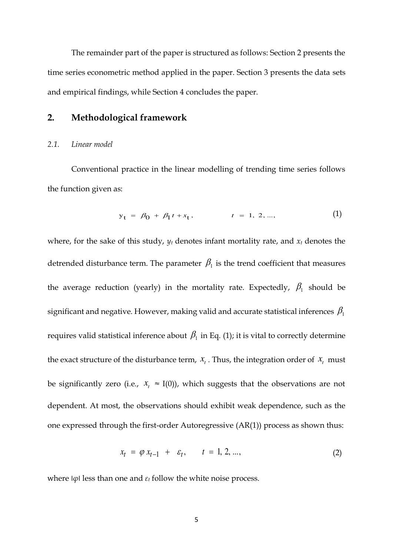The remainder part of the paper is structured as follows: Section 2 presents the time series econometric method applied in the paper. Section 3 presents the data sets and empirical findings, while Section 4 concludes the paper.

# **2. Methodological framework**

#### *2.1. Linear model*

Conventional practice in the linear modelling of trending time series follows the function given as:

$$
y_t = \beta_0 + \beta_1 t + x_t, \qquad t = 1, 2, ..., \qquad (1)
$$

where, for the sake of this study,  $y_t$  denotes infant mortality rate, and  $x_t$  denotes the detrended disturbance term. The parameter  $\beta_1$  is the trend coefficient that measures the average reduction (yearly) in the mortality rate. Expectedly,  $\beta_1$  should be significant and negative. However, making valid and accurate statistical inferences  $\beta_1$ requires valid statistical inference about  $\,\beta_{\rm l}$  in Eq. (1); it is vital to correctly determine the exact structure of the disturbance term,  $x_t$ . Thus, the integration order of  $x_t$  must be significantly zero (i.e.,  $x_t \approx I(0)$ ), which suggests that the observations are not dependent. At most, the observations should exhibit weak dependence, such as the one expressed through the first-order Autoregressive (AR(1)) process as shown thus:

$$
x_t = \varphi x_{t-1} + \varepsilon_t, \qquad t = 1, 2, ..., \tag{2}
$$

where ׀*φ*׀ less than one and *εt* follow the white noise process.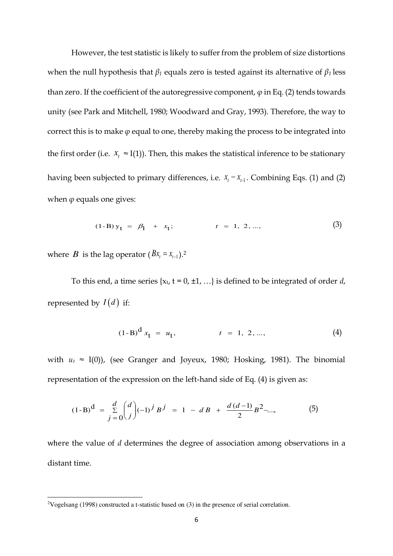However, the test statistic is likely to suffer from the problem of size distortions when the null hypothesis that  $\beta_1$  equals zero is tested against its alternative of  $\beta_1$  less than zero. If the coefficient of the autoregressive component,  $\varphi$  in Eq. (2) tends towards unity (see Park and Mitchell, 1980; Woodward and Gray, 1993). Therefore, the way to correct this is to make *φ* equal to one, thereby making the process to be integrated into the first order (i.e.  $x_t \approx I(1)$ ). Then, this makes the statistical inference to be stationary having been subjected to primary differences, i.e.  $x_t - x_{t-1}$ . Combining Eqs. (1) and (2) when  $\varphi$  equals one gives:

$$
(1-B) yt = \beta1 + xt; \t\t t = 1, 2, ..., \t\t (3)
$$

where *B* is the lag operator  $(Bx_t = x_{t-1})$ .<sup>2</sup>

 $\overline{a}$ 

To this end, a time series  $\{x_t, t = 0, \pm 1, ...\}$  is defined to be integrated of order *d*, represented by  $I(d)$  if:

$$
(1-B)^{d} x_{t} = u_{t}, \t t = 1, 2, ..., \t(4)
$$

with  $u_t \approx I(0)$ ), (see Granger and Joyeux, 1980; Hosking, 1981). The binomial representation of the expression on the left-hand side of Eq. (4) is given as:

$$
(1-B)^d = \frac{d}{\sum_{j=0}^{d}} \binom{d}{j} (-1)^j B^j = 1 - dB + \frac{d(d-1)}{2} B^2 - \dots,
$$
 (5)

where the value of *d* determines the degree of association among observations in a distant time.

<sup>2</sup>Vogelsang (1998) constructed a t-statistic based on (3) in the presence of serial correlation.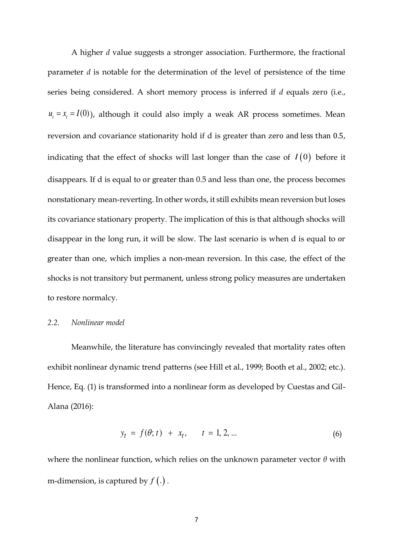A higher *d* value suggests a stronger association. Furthermore, the fractional parameter *d* is notable for the determination of the level of persistence of the time series being considered. A short memory process is inferred if *d* equals zero (i.e.,  $u_t = x_t = I(0)$ , although it could also imply a weak AR process sometimes. Mean reversion and covariance stationarity hold if d is greater than zero and less than 0.5, indicating that the effect of shocks will last longer than the case of  $I(0)$  before it disappears. If d is equal to or greater than 0.5 and less than one, the process becomes nonstationary mean-reverting. In other words, it still exhibits mean reversion but loses its covariance stationary property. The implication of this is that although shocks will disappear in the long run, it will be slow. The last scenario is when d is equal to or greater than one, which implies a non-mean reversion. In this case, the effect of the shocks is not transitory but permanent, unless strong policy measures are undertaken to restore normalcy.

#### *2.2. Nonlinear model*

Meanwhile, the literature has convincingly revealed that mortality rates often exhibit nonlinear dynamic trend patterns (see Hill et al., 1999; Booth et al., 2002; etc.). Hence, Eq. (1) is transformed into a nonlinear form as developed by Cuestas and Gil-Alana (2016):

$$
y_t = f(\theta; t) + x_t, \qquad t = 1, 2, ... \tag{6}
$$

where the nonlinear function, which relies on the unknown parameter vector *θ* with m-dimension, is captured by  $f(.)$ .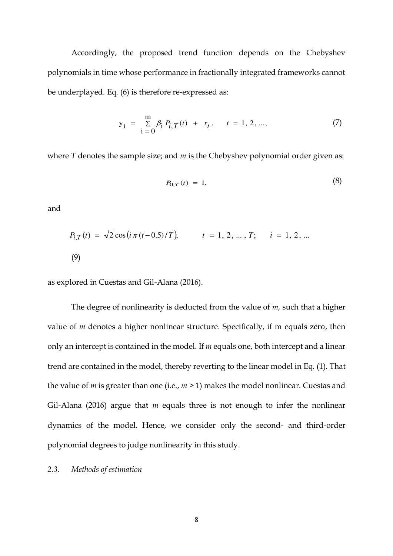Accordingly, the proposed trend function depends on the Chebyshev polynomials in time whose performance in fractionally integrated frameworks cannot be underplayed. Eq. (6) is therefore re-expressed as:

$$
y_{t} = \sum_{i=0}^{m} \beta_{i} P_{i,T}(t) + x_{t}, \quad t = 1, 2, ..., \tag{7}
$$

where *T* denotes the sample size; and *m* is the Chebyshev polynomial order given as:

$$
P_{0,T}(t) = 1,\t\t(8)
$$

and

$$
P_{i,T}(t) = \sqrt{2} \cos(i \pi (t - 0.5)/T), \qquad t = 1, 2, ..., T; \qquad i = 1, 2, ...
$$
\n(9)

as explored in Cuestas and Gil-Alana (2016).

The degree of nonlinearity is deducted from the value of *m,* such that a higher value of *m* denotes a higher nonlinear structure. Specifically, if m equals zero, then only an intercept is contained in the model. If *m* equals one, both intercept and a linear trend are contained in the model, thereby reverting to the linear model in Eq. (1). That the value of *m* is greater than one (i.e., *m* > 1) makes the model nonlinear. Cuestas and Gil-Alana (2016) argue that *m* equals three is not enough to infer the nonlinear dynamics of the model. Hence, we consider only the second- and third-order polynomial degrees to judge nonlinearity in this study.

#### *2.3. Methods of estimation*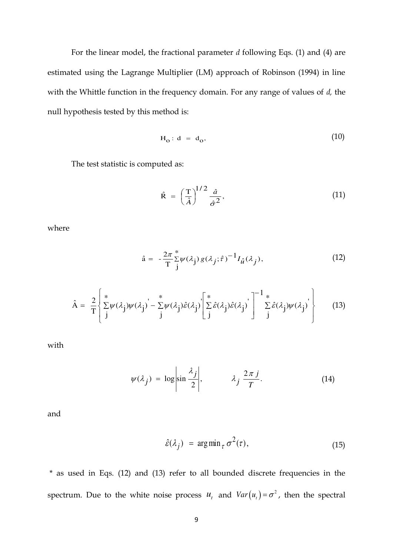For the linear model, the fractional parameter *d* following Eqs. (1) and (4) are estimated using the Lagrange Multiplier (LM) approach of Robinson (1994) in line with the Whittle function in the frequency domain. For any range of values of *d,* the null hypothesis tested by this method is:

$$
H_o: d = d_o,
$$
 (10)

The test statistic is computed as:

$$
\hat{\mathbf{R}} = \left(\frac{\mathbf{T}}{\hat{A}}\right)^{1/2} \frac{\hat{a}}{\hat{\sigma}^2},\tag{11}
$$

where

$$
\hat{\mathbf{a}} = -\frac{2\pi}{T} \sum_{j}^{*} \psi(\lambda_j) g(\lambda_j; \hat{\tau})^{-1} I_{\hat{u}}(\lambda_j), \tag{12}
$$

$$
\hat{A} = \frac{2}{T} \left\{ \sum_{j}^{*} \psi(\lambda_j) \psi(\lambda_j) - \sum_{j}^{*} \psi(\lambda_j) \hat{\varepsilon}(\lambda_j) \left[ \sum_{j}^{*} \hat{\varepsilon}(\lambda_j) \hat{\varepsilon}(\lambda_j) \right]^{-1} \sum_{j}^{*} \hat{\varepsilon}(\lambda_j) \psi(\lambda_j) \right\} \tag{13}
$$

with

$$
\psi(\lambda_j) = \log \left| \sin \frac{\lambda_j}{2} \right|, \qquad \lambda_j \frac{2\pi j}{T}.
$$
 (14)

and

$$
\hat{\varepsilon}(\lambda_j) = \arg\min_{\tau} \sigma^2(\tau), \qquad (15)
$$

 \* as used in Eqs. (12) and (13) refer to all bounded discrete frequencies in the spectrum. Due to the white noise process  $u_t$  and  $Var(u_t) = \sigma^2$ , then the spectral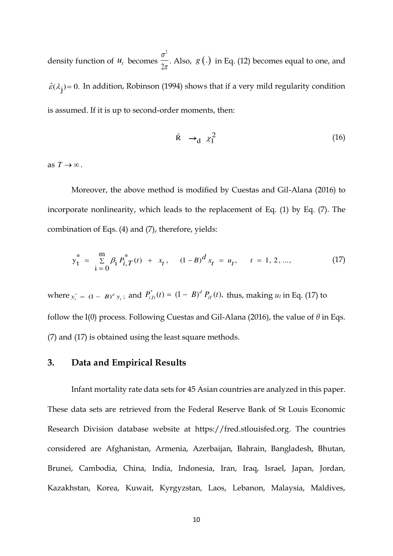density function of  $u_t$  becomes  $\frac{\sigma^2}{2\sigma^2}$ 2 σ  $\frac{1}{\pi}$ . Also, *g* (.) in Eq. (12) becomes equal to one, and  $\hat{\varepsilon}(\lambda_j)$ = 0. In addition, Robinson (1994) shows that if a very mild regularity condition is assumed. If it is up to second-order moments, then:

$$
\hat{\mathbf{R}} \to_{\mathbf{d}} \chi_1^2 \tag{16}
$$

as  $T \rightarrow \infty$ .

 Moreover, the above method is modified by Cuestas and Gil-Alana (2016) to incorporate nonlinearity, which leads to the replacement of Eq. (1) by Eq. (7). The combination of Eqs. (4) and (7), therefore, yields:

$$
y_{t}^{*} = \sum_{i=0}^{m} \beta_{i} P_{i,T}^{*}(t) + x_{t}, \quad (1 - B)^{d} x_{t} = u_{t}, \quad t = 1, 2, ..., \tag{17}
$$

where  $y_t^* = (1 - B)^d y_t$ ; and  $P_{i, Tt}^*(t) = (1 - B)^d P_{iT}(t)$ ,  $d_{i,Tr}^{*}(t) = (1 - B)^{d} P_{i}^{T}(t)$ , thus, making  $u_t$  in Eq. (17) to follow the I(0) process. Following Cuestas and Gil-Alana (2016), the value of *θ* in Eqs. (7) and (17) is obtained using the least square methods.

# **3. Data and Empirical Results**

Infant mortality rate data sets for 45 Asian countries are analyzed in this paper. These data sets are retrieved from the Federal Reserve Bank of St Louis Economic Research Division database website at https://fred.stlouisfed.org. The countries considered are Afghanistan, Armenia, Azerbaijan, Bahrain, Bangladesh, Bhutan, Brunei, Cambodia, China, India, Indonesia, Iran, Iraq, Israel, Japan, Jordan, Kazakhstan, Korea, Kuwait, Kyrgyzstan, Laos, Lebanon, Malaysia, Maldives,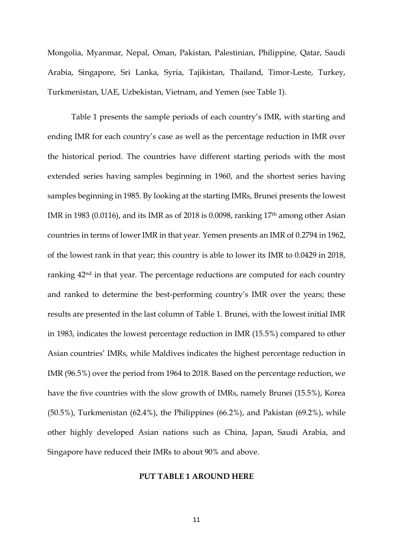Mongolia, Myanmar, Nepal, Oman, Pakistan, Palestinian, Philippine, Qatar, Saudi Arabia, Singapore, Sri Lanka, Syria, Tajikistan, Thailand, Timor-Leste, Turkey, Turkmenistan, UAE, Uzbekistan, Vietnam, and Yemen (see Table 1).

Table 1 presents the sample periods of each country's IMR, with starting and ending IMR for each country's case as well as the percentage reduction in IMR over the historical period. The countries have different starting periods with the most extended series having samples beginning in 1960, and the shortest series having samples beginning in 1985. By looking at the starting IMRs, Brunei presents the lowest IMR in 1983 (0.0116), and its IMR as of 2018 is 0.0098, ranking 17th among other Asian countries in terms of lower IMR in that year. Yemen presents an IMR of 0.2794 in 1962, of the lowest rank in that year; this country is able to lower its IMR to 0.0429 in 2018, ranking 42<sup>nd</sup> in that year. The percentage reductions are computed for each country and ranked to determine the best-performing country's IMR over the years; these results are presented in the last column of Table 1. Brunei, with the lowest initial IMR in 1983, indicates the lowest percentage reduction in IMR (15.5%) compared to other Asian countries' IMRs, while Maldives indicates the highest percentage reduction in IMR (96.5%) over the period from 1964 to 2018. Based on the percentage reduction, we have the five countries with the slow growth of IMRs, namely Brunei (15.5%), Korea (50.5%), Turkmenistan (62.4%), the Philippines (66.2%), and Pakistan (69.2%), while other highly developed Asian nations such as China, Japan, Saudi Arabia, and Singapore have reduced their IMRs to about 90% and above.

#### **PUT TABLE 1 AROUND HERE**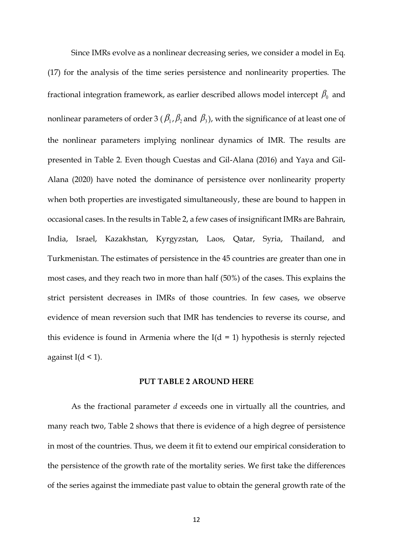Since IMRs evolve as a nonlinear decreasing series, we consider a model in Eq. (17) for the analysis of the time series persistence and nonlinearity properties. The fractional integration framework, as earlier described allows model intercept  $\beta_0$  and nonlinear parameters of order 3 (  $\beta_1$  ,  $\beta_2$  and  $\,\beta_3$  ), with the significance of at least one of the nonlinear parameters implying nonlinear dynamics of IMR. The results are presented in Table 2. Even though Cuestas and Gil-Alana (2016) and Yaya and Gil-Alana (2020) have noted the dominance of persistence over nonlinearity property when both properties are investigated simultaneously, these are bound to happen in occasional cases. In the results in Table 2, a few cases of insignificant IMRs are Bahrain, India, Israel, Kazakhstan, Kyrgyzstan, Laos, Qatar, Syria, Thailand, and Turkmenistan. The estimates of persistence in the 45 countries are greater than one in most cases, and they reach two in more than half (50%) of the cases. This explains the strict persistent decreases in IMRs of those countries. In few cases, we observe evidence of mean reversion such that IMR has tendencies to reverse its course, and this evidence is found in Armenia where the  $I(d = 1)$  hypothesis is sternly rejected against I( $d < 1$ ).

#### **PUT TABLE 2 AROUND HERE**

 As the fractional parameter *d* exceeds one in virtually all the countries, and many reach two, Table 2 shows that there is evidence of a high degree of persistence in most of the countries. Thus, we deem it fit to extend our empirical consideration to the persistence of the growth rate of the mortality series. We first take the differences of the series against the immediate past value to obtain the general growth rate of the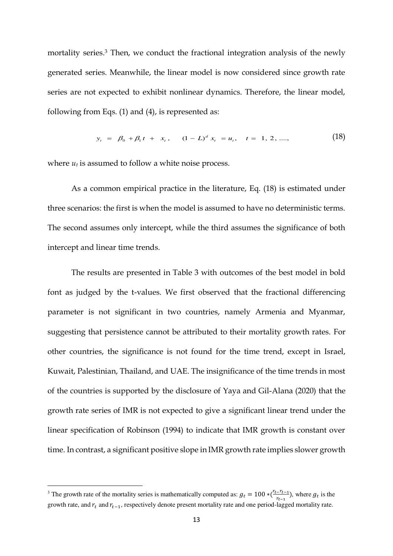mortality series.<sup>3</sup> Then, we conduct the fractional integration analysis of the newly generated series. Meanwhile, the linear model is now considered since growth rate series are not expected to exhibit nonlinear dynamics. Therefore, the linear model, following from Eqs. (1) and (4), is represented as:

$$
y_t = \beta_0 + \beta_1 t + x_t, \qquad (1 - L)^d x_t = u_t, \quad t = 1, 2, \dots,
$$
 (18)

where  $u_t$  is assumed to follow a white noise process.

As a common empirical practice in the literature, Eq. (18) is estimated under three scenarios: the first is when the model is assumed to have no deterministic terms. The second assumes only intercept, while the third assumes the significance of both intercept and linear time trends.

 The results are presented in Table 3 with outcomes of the best model in bold font as judged by the t-values. We first observed that the fractional differencing parameter is not significant in two countries, namely Armenia and Myanmar, suggesting that persistence cannot be attributed to their mortality growth rates. For other countries, the significance is not found for the time trend, except in Israel, Kuwait, Palestinian, Thailand, and UAE. The insignificance of the time trends in most of the countries is supported by the disclosure of Yaya and Gil-Alana (2020) that the growth rate series of IMR is not expected to give a significant linear trend under the linear specification of Robinson (1994) to indicate that IMR growth is constant over time. In contrast, a significant positive slope in IMR growth rate implies slower growth

 $\overline{a}$ 

<sup>&</sup>lt;sup>3</sup> The growth rate of the mortality series is mathematically computed as:  $g_t = 100 * (\frac{r_t - r_{t-1}}{r_{t-1}})$ , where  $g_t$  is the growth rate, and  $r_t$  and  $r_{t-1}$ , respectively denote present mortality rate and one period-lagged mortality rate.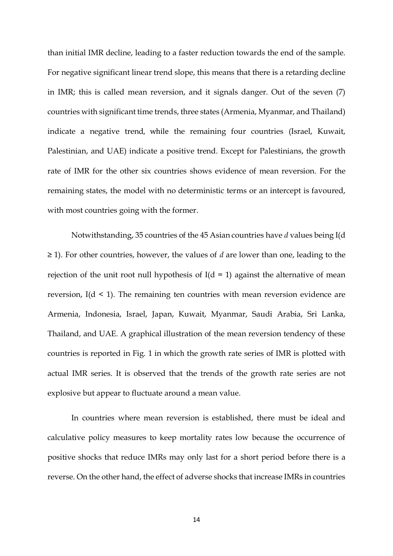than initial IMR decline, leading to a faster reduction towards the end of the sample. For negative significant linear trend slope, this means that there is a retarding decline in IMR; this is called mean reversion, and it signals danger. Out of the seven (7) countries with significant time trends, three states (Armenia, Myanmar, and Thailand) indicate a negative trend, while the remaining four countries (Israel, Kuwait, Palestinian, and UAE) indicate a positive trend. Except for Palestinians, the growth rate of IMR for the other six countries shows evidence of mean reversion. For the remaining states, the model with no deterministic terms or an intercept is favoured, with most countries going with the former.

Notwithstanding, 35 countries of the 45 Asian countries have *d* values being I(d ≥ 1). For other countries, however, the values of *d* are lower than one, leading to the rejection of the unit root null hypothesis of  $I(d = 1)$  against the alternative of mean reversion,  $I(d \leq 1)$ . The remaining ten countries with mean reversion evidence are Armenia, Indonesia, Israel, Japan, Kuwait, Myanmar, Saudi Arabia, Sri Lanka, Thailand, and UAE. A graphical illustration of the mean reversion tendency of these countries is reported in Fig. 1 in which the growth rate series of IMR is plotted with actual IMR series. It is observed that the trends of the growth rate series are not explosive but appear to fluctuate around a mean value.

 In countries where mean reversion is established, there must be ideal and calculative policy measures to keep mortality rates low because the occurrence of positive shocks that reduce IMRs may only last for a short period before there is a reverse. On the other hand, the effect of adverse shocks that increase IMRs in countries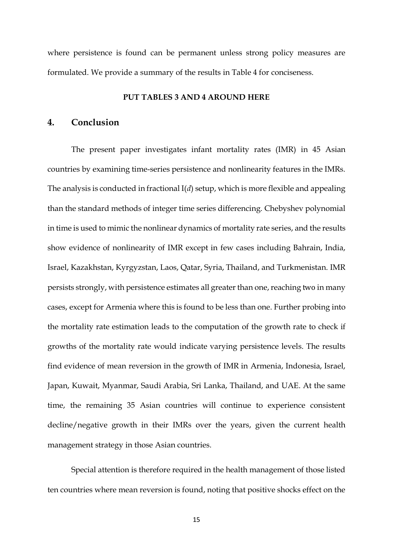where persistence is found can be permanent unless strong policy measures are formulated. We provide a summary of the results in Table 4 for conciseness.

#### **PUT TABLES 3 AND 4 AROUND HERE**

## **4. Conclusion**

The present paper investigates infant mortality rates (IMR) in 45 Asian countries by examining time-series persistence and nonlinearity features in the IMRs. The analysis is conducted in fractional I(*d*) setup, which is more flexible and appealing than the standard methods of integer time series differencing. Chebyshev polynomial in time is used to mimic the nonlinear dynamics of mortality rate series, and the results show evidence of nonlinearity of IMR except in few cases including Bahrain, India, Israel, Kazakhstan, Kyrgyzstan, Laos, Qatar, Syria, Thailand, and Turkmenistan. IMR persists strongly, with persistence estimates all greater than one, reaching two in many cases, except for Armenia where this is found to be less than one. Further probing into the mortality rate estimation leads to the computation of the growth rate to check if growths of the mortality rate would indicate varying persistence levels. The results find evidence of mean reversion in the growth of IMR in Armenia, Indonesia, Israel, Japan, Kuwait, Myanmar, Saudi Arabia, Sri Lanka, Thailand, and UAE. At the same time, the remaining 35 Asian countries will continue to experience consistent decline/negative growth in their IMRs over the years, given the current health management strategy in those Asian countries.

 Special attention is therefore required in the health management of those listed ten countries where mean reversion is found, noting that positive shocks effect on the

15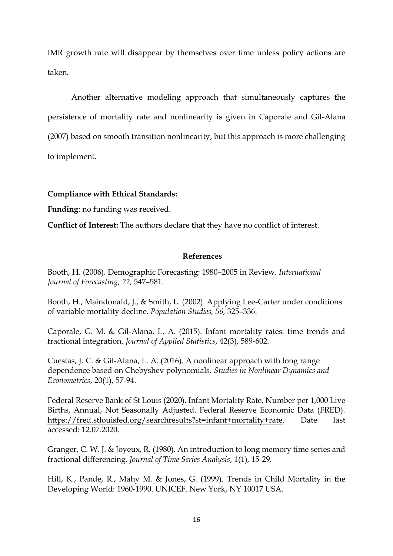IMR growth rate will disappear by themselves over time unless policy actions are taken.

 Another alternative modeling approach that simultaneously captures the persistence of mortality rate and nonlinearity is given in Caporale and Gil-Alana (2007) based on smooth transition nonlinearity, but this approach is more challenging to implement.

### **Compliance with Ethical Standards:**

**Funding**: no funding was received.

**Conflict of Interest:** The authors declare that they have no conflict of interest.

#### **References**

Booth, H. (2006). Demographic Forecasting: 1980–2005 in Review. *International Journal of Forecasting, 22,* 547–581.

Booth, H., Maindonald, J., & Smith, L. (2002). Applying Lee-Carter under conditions of variable mortality decline. *Population Studies, 56,* 325–336.

Caporale, G. M. & Gil-Alana, L. A. (2015). Infant mortality rates: time trends and fractional integration. *Journal of Applied Statistics*, 42(3), 589-602.

Cuestas, J. C. & Gil-Alana, L. A. (2016). A nonlinear approach with long range dependence based on Chebyshev polynomials. *Studies in Nonlinear Dynamics and Econometrics*, 20(1), 57-94.

Federal Reserve Bank of St Louis (2020). Infant Mortality Rate, Number per 1,000 Live Births, Annual, Not Seasonally Adjusted. Federal Reserve Economic Data (FRED). [https://fred.stlouisfed.org/searchresults?st=infant+mortality+rate.](https://fred.stlouisfed.org/searchresults?st=infant+mortality+rate) Date last accessed: 12.07.2020.

Granger, C. W. J. & Joyeux, R. (1980). An introduction to long memory time series and fractional differencing. *Journal of Time Series Analysis*, 1(1), 15-29.

Hill, K., Pande, R., Mahy M. & Jones, G. (1999). Trends in Child Mortality in the Developing World: 1960-1990. UNICEF. New York, NY 10017 USA.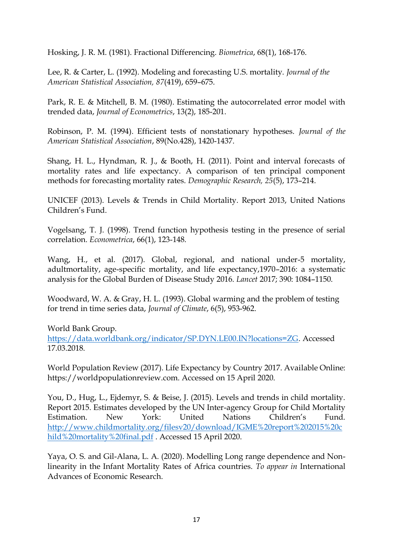Hosking, J. R. M. (1981). Fractional Differencing. *Biometrica*, 68(1), 168-176.

Lee, R. & Carter, L. (1992). Modeling and forecasting U.S. mortality. *Journal of the American Statistical Association, 87*(419), 659–675.

Park, R. E. & Mitchell, B. M. (1980). Estimating the autocorrelated error model with trended data, *Journal of Econometrics*, 13(2), 185-201.

Robinson, P. M. (1994). Efficient tests of nonstationary hypotheses. *Journal of the American Statistical Association*, 89(No.428), 1420-1437.

Shang, H. L., Hyndman, R. J., & Booth, H. (2011). Point and interval forecasts of mortality rates and life expectancy. A comparison of ten principal component methods for forecasting mortality rates. *Demographic Research, 25*(5), 173–214.

UNICEF (2013). Levels & Trends in Child Mortality. Report 2013, United Nations Children's Fund.

Vogelsang, T. J. (1998). Trend function hypothesis testing in the presence of serial correlation. *Econometrica*, 66(1), 123-148.

Wang, H., et al. (2017). Global, regional, and national under-5 mortality, adultmortality, age-specific mortality, and life expectancy,1970–2016: a systematic analysis for the Global Burden of Disease Study 2016. *Lancet* 2017; 390: 1084–1150.

Woodward, W. A. & Gray, H. L. (1993). Global warming and the problem of testing for trend in time series data, *Journal of Climate*, 6(5), 953-962.

World Bank Group.

[https://data.worldbank.org/indicator/SP.DYN.LE00.IN?locations=ZG.](https://data.worldbank.org/indicator/SP.DYN.LE00.IN?locations=ZG) Accessed 17.03.2018.

World Population Review (2017). Life Expectancy by Country 2017. Available Online: https://worldpopulationreview.com. Accessed on 15 April 2020.

You, D., Hug, L., Ejdemyr, S. & Beise, J. (2015). Levels and trends in child mortality. Report 2015. Estimates developed by the UN Inter-agency Group for Child Mortality Estimation. New York: United Nations Children's Fund. [http://www.childmortality.org/filesv20/download/IGME%20report%202015%20c](http://www.childmortality.org/filesv20/download/IGME%20report%202015%20child%20mortality%20final.pdf) [hild%20mortality%20final.pdf](http://www.childmortality.org/filesv20/download/IGME%20report%202015%20child%20mortality%20final.pdf) . Accessed 15 April 2020.

Yaya, O. S. and Gil-Alana, L. A. (2020). Modelling Long range dependence and Nonlinearity in the Infant Mortality Rates of Africa countries. *To appear in* International Advances of Economic Research.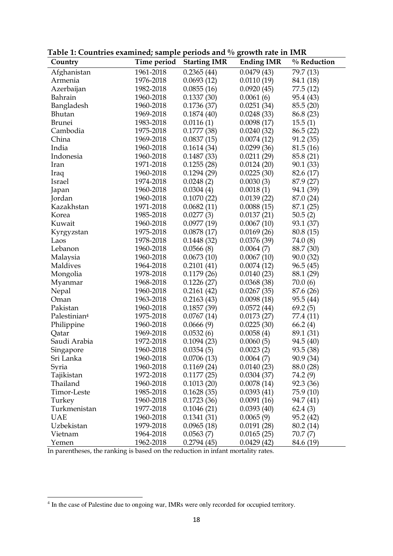| Country                  | Time period | <b>Starting IMR</b> | <b>Ending IMR</b> | % Reduction |
|--------------------------|-------------|---------------------|-------------------|-------------|
| Afghanistan              | 1961-2018   | 0.2365(44)          | 0.0479(43)        | 79.7 (13)   |
| Armenia                  | 1976-2018   | 0.0693(12)          | 0.0110(19)        | 84.1 (18)   |
| Azerbaijan               | 1982-2018   | 0.0855(16)          | 0.0920(45)        | 77.5 (12)   |
| Bahrain                  | 1960-2018   | 0.1337(30)          | 0.0061(6)         | 95.4 (43)   |
| Bangladesh               | 1960-2018   | 0.1736(37)          | 0.0251(34)        | 85.5(20)    |
| Bhutan                   | 1969-2018   | 0.1874(40)          | 0.0248(33)        | 86.8 (23)   |
| <b>Brunei</b>            | 1983-2018   | 0.0116(1)           | 0.0098(17)        | 15.5(1)     |
| Cambodia                 | 1975-2018   | 0.1777(38)          | 0.0240(32)        | 86.5(22)    |
| China                    | 1969-2018   | 0.0837(15)          | 0.0074(12)        | 91.2(35)    |
| India                    | 1960-2018   | 0.1614(34)          | 0.0299(36)        | 81.5(16)    |
| Indonesia                | 1960-2018   | 0.1487(33)          | 0.0211(29)        | 85.8 (21)   |
| Iran                     | 1971-2018   | 0.1255(28)          | 0.0124(20)        | 90.1(33)    |
| Iraq                     | 1960-2018   | 0.1294(29)          | 0.0225(30)        | 82.6 (17)   |
| Israel                   | 1974-2018   | 0.0248(2)           | 0.0030(3)         | 87.9 (27)   |
| Japan                    | 1960-2018   | 0.0304(4)           | 0.0018(1)         | 94.1 (39)   |
| Jordan                   | 1960-2018   | 0.1070(22)          | 0.0139(22)        | 87.0 (24)   |
| Kazakhstan               | 1971-2018   | 0.0682(11)          | 0.0088(15)        | 87.1 (25)   |
| Korea                    | 1985-2018   | 0.0277(3)           | 0.0137(21)        | 50.5(2)     |
| Kuwait                   | 1960-2018   | 0.0977(19)          | 0.0067(10)        | 93.1 (37)   |
| Kyrgyzstan               | 1975-2018   | 0.0878(17)          | 0.0169(26)        | 80.8 (15)   |
| Laos                     | 1978-2018   | 0.1448(32)          | 0.0376(39)        | 74.0 (8)    |
| Lebanon                  | 1960-2018   | 0.0566(8)           | 0.0064(7)         | 88.7 (30)   |
| Malaysia                 | 1960-2018   | 0.0673(10)          | 0.0067(10)        | 90.0(32)    |
| Maldives                 | 1964-2018   | 0.2101(41)          | 0.0074(12)        | 96.5(45)    |
| Mongolia                 | 1978-2018   | 0.1179(26)          | 0.0140(23)        | 88.1 (29)   |
| Myanmar                  | 1968-2018   | 0.1226(27)          | 0.0368(38)        | 70.0(6)     |
| Nepal                    | 1960-2018   | 0.2161(42)          | 0.0267(35)        | 87.6 (26)   |
| Oman                     | 1963-2018   | 0.2163(43)          | 0.0098(18)        | 95.5 (44)   |
| Pakistan                 | 1960-2018   | 0.1857(39)          | 0.0572(44)        | 69.2(5)     |
| Palestinian <sup>4</sup> | 1975-2018   | 0.0767(14)          | 0.0173(27)        | 77.4 (11)   |
| Philippine               | 1960-2018   | 0.0666(9)           | 0.0225(30)        | 66.2(4)     |
| Qatar                    | 1969-2018   | 0.0532(6)           | 0.0058(4)         | 89.1 (31)   |
| Saudi Arabia             | 1972-2018   | 0.1094(23)          | 0.0060(5)         | 94.5 (40)   |
| Singapore                | 1960-2018   | 0.0354(5)           | 0.0023(2)         | 93.5 (38)   |
| Sri Lanka                | 1960-2018   | 0.0706(13)          | 0.0064(7)         | 90.9 (34)   |
| Syria                    | 1960-2018   | 0.1169(24)          | 0.0140(23)        | 88.0 (28)   |
| Tajikistan               | 1972-2018   | 0.1177(25)          | 0.0304(37)        | 74.2 (9)    |
| Thailand                 | 1960-2018   | 0.1013(20)          | 0.0078(14)        | 92.3 (36)   |
| Timor-Leste              | 1985-2018   | 0.1628(35)          | 0.0393(41)        | 75.9 (10)   |
| Turkey                   | 1960-2018   | 0.1723(36)          | 0.0091(16)        | 94.7 (41)   |
| Turkmenistan             | 1977-2018   | 0.1046(21)          | 0.0393(40)        | 62.4(3)     |
| <b>UAE</b>               | 1960-2018   | 0.1341(31)          | 0.0065(9)         | 95.2 (42)   |
| Uzbekistan               | 1979-2018   | 0.0965(18)          | 0.0191(28)        | 80.2 (14)   |
| Vietnam                  | 1964-2018   | 0.0563(7)           | 0.0165(25)        | 70.7 (7)    |
| Yemen                    | 1962-2018   | 0.2794(45)          | 0.0429(42)        | 84.6 (19)   |

**Table 1: Countries examined; sample periods and % growth rate in IMR** 

In parentheses, the ranking is based on the reduction in infant mortality rates.

 $\overline{a}$ 

<sup>&</sup>lt;sup>4</sup> In the case of Palestine due to ongoing war, IMRs were only recorded for occupied territory.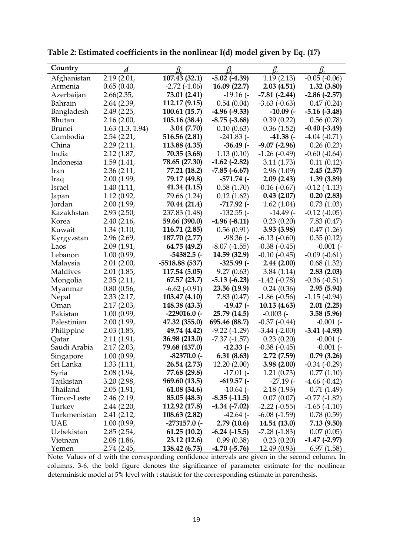| Country       | d                    |                   |                     |                   |                   |
|---------------|----------------------|-------------------|---------------------|-------------------|-------------------|
| Afghanistan   | 2.19(2.01,           | 107.43 (32.1)     | $-5.02$ $(-4.39)$   | 1.19(2.13)        | $-0.05$ $(-0.06)$ |
| Armenia       | 0.65(0.40,           | $-2.72(-1.06)$    | 16.09 (22.7)        | 2.03(4.51)        | 1.32(3.80)        |
| Azerbaijan    | 2.66(2.35,           | 73.01 (2.41)      | $-19.16$ ( $-$      | $-7.81(-2.44)$    | $-2.86$ $(-2.57)$ |
| Bahrain       | 2.64 (2.39,          | 112.17 (9.15)     | 0.54(0.04)          | $-3.63$ $(-0.63)$ | 0.47(0.24)        |
| Bangladesh    | 2.49 (2.25,          | 100.61(15.7)      | $-4.96(-9.33)$      | $-10.09$ ( $-$    | $-5.16(-3.48)$    |
| Bhutan        | 2.16(2.00,           | 105.16 (38.4)     | $-8.75$ $(-3.68)$   | 0.39(0.22)        | 0.56(0.78)        |
| <b>Brunei</b> | $1.63$ $(1.3, 1.94)$ | 3.04 (7.70)       | 0.10(0.63)          | 0.36(1.52)        | $-0.40(-3.49)$    |
| Cambodia      | 2.54(2.21,           | 516.56 (2.81)     | $-241.83$ ( $-$     | $-41.38$ (-       | $-4.04(-0.71)$    |
| China         | 2.29(2.11,           | 113.88 (4.35)     | $-36.49$ (-         | $-9.07$ $(-2.96)$ | 0.26(0.23)        |
| India         | 2.12(1.87,           | 70.35 (3.68)      | 1.13(0.10)          | $-1.26(-0.49)$    | $-0.60$ $(-0.64)$ |
| Indonesia     | 1.59(1.41,           | 78.65 (27.30)     | $-1.62$ ( $-2.82$ ) | 3.11(1.73)        | 0.11(0.12)        |
| Iran          | 2.36(2.11,           | 77.21 (18.2)      | $-7.85$ $(-6.67)$   | 2.96(1.09)        | 2.45(2.37)        |
| Iraq          | 2.00 (1.99,          | 79.17 (49.8)      | $-571.74$ (-        | 2.09(2.43)        | 1.39(3.89)        |
| Israel        | 1.40(1.11,           | 41.34 (1.15)      | 0.58(1.70)          | $-0.16(-0.67)$    | $-0.12(-1.13)$    |
| Japan         | 1.12(0.92,           | 79.66 (1.24)      | 0.12(1.62)          | 0.43(2.07)        | 0.20(2.83)        |
| Jordan        | 2.00(1.99,           | 70.44 (21.4)      | -717.92 (-          | 1.62(1.04)        | 0.73(1.03)        |
| Kazakhstan    | 2.93(2.50,           | 237.83 (1.48)     | $-132.55$ (-        | $-14.49$ (-       | $-0.12$ $(-0.05)$ |
| Korea         | 2.40(2.16,           | 59.66 (390.0)     | $-4.96(-8.11)$      | 0.23(0.20)        | 7.83(0.47)        |
| Kuwait        | 1.34(1.10,           | 116.71 (2.85)     | 0.56(0.91)          | 3.93(3.98)        | 0.47(1.26)        |
| Kyrgyzstan    | 2.96(2.69,           | 187.70 (2.77)     | $-98.36(-$          | $-6.13(-0.60)$    | 0.35(0.12)        |
| Laos          | 2.09 (1.91,          | 64.75 (49.2)      | $-8.07$ $(-1.55)$   | $-0.38(-0.45)$    | $-0.001$ $(-$     |
| Lebanon       | 1.00 (0.99,          | $-54382.5$ (-     | 14.59 (32.9)        | $-0.10(-0.45)$    | $-0.09(-0.61)$    |
| Malaysia      | 2.01(2.00,           | $-5518.88(537)$   | $-325.99$ (-        | 2.44(2.00)        | 0.68(1.32)        |
| Maldives      | 2.01(1.85,           | 117.54 (5.05)     | 9.27(0.63)          | 3.84(1.14)        | 2.83(2.03)        |
| Mongolia      | 2.35(2.11,           | 67.57 (23.7)      | $-5.13(-6.23)$      | $-1.42$ $(-0.78)$ | $-0.36(-0.51)$    |
| Myanmar       | 0.80(0.56,           | $-6.62$ $(-0.91)$ | 23.56 (19.9)        | 0.24(0.36)        | 2.95(5.94)        |
| Nepal         | 2.33(2.17,           | 103.47 (4.10)     | 7.83 (0.47)         | $-1.86(-0.56)$    | $-1.15(-0.94)$    |
| Oman          | 2.17(2.03,           | 148.38 (43.3)     | $-19.47$ (-         | 10.13(4.63)       | 2.01(2.25)        |
| Pakistan      | 1.00(0.99,           | $-229016.0$ (-    | 25.79 (14.5)        | $-0.003$ ( $-$    | 3.58(5.96)        |
| Palestinian   | 2.00(1.99,           | 47.32 (355.0)     | 695.46 (88.7)       | $-0.37(-0.44)$    | $-0.001$ $(-$     |
| Philippine    | 2.03(1.85,           | 49.74 (4.42)      | $-9.22(-1.29)$      | $-3.44$ $(-2.00)$ | $-3.41(-4.93)$    |
| Qatar         | 2.11(1.91,           | 36.98 (213.0)     | $-7.37(-1.57)$      | 0.23(0.20)        | $-0.001$ ( $-$    |
| Saudi Arabia  | 2.17(2.03,           | 79.68 (437.0)     | $-12.33$ (-         | $-0.38(-0.45)$    | $-0.001$ $(-$     |
| Singapore     | 1.00 (0.99,          | $-82370.0$ (-     | 6.31(8.63)          | 2.72(7.59)        | 0.79(3.26)        |
| Sri Lanka     | 1.33(1.11,           | 26.54 (2.73)      | 12.20(2.00)         | 3.98(2.00)        | $-0.34(-0.29)$    |
| Syria         | 2.08(1.94,           | 77.68 (29.8)      | $-17.01$ ( $-$      | 1.21(0.73)        | 0.77(1.10)        |
| Tajikistan    | 3.20(2.98,           | 969.60 (13.5)     | $-619.57$ (-        | $-27.19$ ( $-$    | $-4.66(-0.42)$    |
| Thailand      | 2.05(1.91,           | 61.08 (34.6)      | $-10.64$ (-         | 2.18(1.93)        | 0.71(1.49)        |
| Timor-Leste   | 2.46(2.19,           | 85.05 (48.3)      | $-8.35$ $(-11.5)$   | 0.07(0.07)        | $-0.77$ $(-1.82)$ |
| Turkey        | 2.44(2.20,           | 112.92 (17.8)     | $-4.34$ $(-7.02)$   | $-2.22(-0.55)$    | $-1.65$ $(-1.10)$ |
| Turkmenistan  | 2.41(2.12,           | 108.63 (2.82)     | $-42.64$ (-         | $-6.08(-1.59)$    | 0.78(0.59)        |
| <b>UAE</b>    | 1.00(0.99,           | $-273157.0$ (-    | 2.79(10.6)          | 14.54 (13.0)      | 7.13(9.50)        |
| Uzbekistan    | 2.85(2.54,           | 61.25(10.2)       | $-6.24$ $(-15.5)$   | $-7.28(-1.83)$    | 0.07(0.05)        |
| Vietnam       | 2.08(1.86,           | 23.12 (12.6)      | 0.99(0.38)          | 0.23(0.20)        | $-1.47$ $(-2.97)$ |
| Yemen         | 2.74 (2.45,          | 138.42 (6.73)     | $-4.70(-5.76)$      | 12.49 (0.93)      | 6.97(1.58)        |

**Table 2: Estimated coefficients in the nonlinear I(d) model given by Eq. (17)** 

Note: Values of d with the corresponding confidence intervals are given in the second column. In columns, 3-6, the bold figure denotes the significance of parameter estimate for the nonlinear deterministic model at 5% level with t statistic for the corresponding estimate in parenthesis.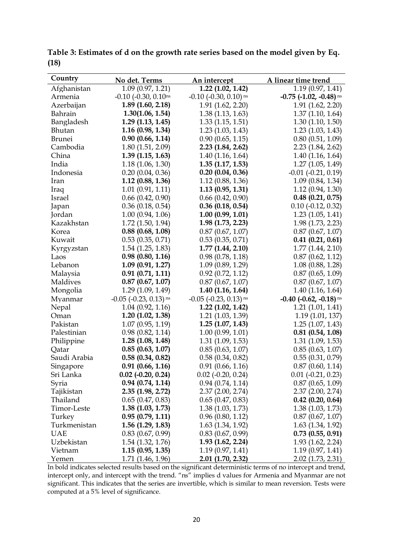| Country       | No det. Terms                         | An intercept                    | A linear time trend              |
|---------------|---------------------------------------|---------------------------------|----------------------------------|
| Afghanistan   | 1.09(0.97, 1.21)                      | 1.22(1.02, 1.42)                | 1.19(0.97, 1.41)                 |
| Armenia       | $-0.10$ $(-0.30, 0.10)$ <sup>ns</sup> | $-0.10$ $(-0.30, 0.10)$ ns      | $-0.75$ ( $-1.02$ , $-0.48$ ) ns |
| Azerbaijan    | $1.89$ $(1.60, 2.18)$                 | 1.91(1.62, 2.20)                | 1.91 (1.62, 2.20)                |
| Bahrain       | 1.30(1.06, 1.54)                      | 1.38(1.13, 1.63)                | 1.37(1.10, 1.64)                 |
| Bangladesh    | $1.29$ $(1.13, 1.45)$                 | 1.33(1.15, 1.51)                | 1.30(1.10, 1.50)                 |
| Bhutan        | 1.16(0.98, 1.34)                      | $1.23$ $(1.03, 1.43)$           | $1.23$ $(1.03, 1.43)$            |
| <b>Brunei</b> | 0.90(0.66, 1.14)                      | 0.90(0.65, 1.15)                | 0.80(0.51, 1.09)                 |
| Cambodia      | 1.80(1.51, 2.09)                      | $2.23$ $(1.84, 2.62)$           | 2.23(1.84, 2.62)                 |
| China         | 1.39(1.15, 1.63)                      | 1.40(1.16, 1.64)                | 1.40(1.16, 1.64)                 |
| India         | 1.18(1.06, 1.30)                      | 1.35(1.17, 1.53)                | 1.27(1.05, 1.49)                 |
| Indonesia     | 0.20(0.04, 0.36)                      | 0.20(0.04, 0.36)                | $-0.01$ $(-0.21, 0.19)$          |
| Iran          | $1.12$ (0.88, 1.36)                   | 1.12(0.88, 1.36)                | 1.09(0.84, 1.34)                 |
| Iraq          | 1.01(0.91, 1.11)                      | 1.13(0.95, 1.31)                | 1.12(0.94, 1.30)                 |
| Israel        | $0.66$ $(0.42, 0.90)$                 | $0.66$ $(0.42, 0.90)$           | $0.48$ $(0.21, 0.75)$            |
| Japan         | 0.36(0.18, 0.54)                      | $0.36$ $(0.18, 0.54)$           | $0.10$ ( $-0.12$ , $0.32$ )      |
| Jordan        | 1.00(0.94, 1.06)                      | 1.00(0.99, 1.01)                | 1.23(1.05, 1.41)                 |
| Kazakhstan    | $1.72$ $(1.50, 1.94)$                 | $1.98$ $(1.73, 2.23)$           | 1.98 (1.73, 2.23)                |
| Korea         | 0.88(0.68, 1.08)                      | 0.87(0.67, 1.07)                | $0.87$ $(0.67, 1.07)$            |
| Kuwait        | 0.53(0.35, 0.71)                      | 0.53(0.35, 0.71)                | $0.41$ $(0.21, 0.61)$            |
| Kyrgyzstan    | $1.54$ $(1.25, 1.83)$                 | 1.77(1.44, 2.10)                | 1.77(1.44, 2.10)                 |
| Laos          | 0.98(0.80, 1.16)                      | 0.98(0.78, 1.18)                | 0.87(0.62, 1.12)                 |
| Lebanon       | 1.09(0.91, 1.27)                      | 1.09(0.89, 1.29)                | 1.08(0.88, 1.28)                 |
| Malaysia      | 0.91(0.71, 1.11)                      | 0.92(0.72, 1.12)                | 0.87(0.65, 1.09)                 |
| Maldives      | $0.87$ $(0.67, 1.07)$                 | 0.87(0.67, 1.07)                | 0.87(0.67, 1.07)                 |
| Mongolia      | 1.29(1.09, 1.49)                      | 1.40(1.16, 1.64)                | 1.40 (1.16, 1.64)                |
| Myanmar       | $-0.05$ ( $-0.23$ , $0.13$ ) ns       | $-0.05$ ( $-0.23$ , $0.13$ ) ns | $-0.40$ ( $-0.62$ , $-0.18$ ) ns |
| Nepal         | 1.04(0.92, 1.16)                      | $1.22$ $(1.02, 1.42)$           | 1.21(1.01, 1.41)                 |
| Oman          | 1.20(1.02, 1.38)                      | 1.21(1.03, 1.39)                | 1.19(1.01, 137)                  |
| Pakistan      | 1.07(0.95, 1.19)                      | 1.25(1.07, 1.43)                | 1.25(1.07, 1.43)                 |
| Palestinian   | 0.98(0.82, 1.14)                      | 1.00(0.99, 1.01)                | 0.81(0.54, 1.08)                 |
| Philippine    | 1.28(1.08, 1.48)                      | 1.31(1.09, 1.53)                | 1.31(1.09, 1.53)                 |
| Qatar         | 0.85(0.63, 1.07)                      | 0.85(0.63, 1.07)                | 0.85(0.63, 1.07)                 |
| Saudi Arabia  | 0.58(0.34, 0.82)                      | 0.58(0.34, 0.82)                | 0.55(0.31, 0.79)                 |
| Singapore     | 0.91(0.66, 1.16)                      | 0.91(0.66, 1.16)                | 0.87(0.60, 1.14)                 |
| Sri Lanka     | $0.02$ (-0.20, 0.24)                  | $0.02$ ( $-0.20$ , $0.24$ )     | $0.01$ ( $-0.21$ , $0.23$ )      |
| Syria         | 0.94(0.74, 1.14)                      | 0.94(0.74, 1.14)                | 0.87(0.65, 1.09)                 |
| Tajikistan    | 2.35(1.98, 2.72)                      | 2.37(2.00, 2.74)                | 2.37(2.00, 2.74)                 |
| Thailand      | 0.65(0.47, 0.83)                      | 0.65(0.47, 0.83)                | $0.42$ (0.20, 0.64)              |
| Timor-Leste   | 1.38(1.03, 1.73)                      | 1.38(1.03, 1.73)                | 1.38(1.03, 1.73)                 |
| Turkey        | 0.95(0.79, 1.11)                      | 0.96(0.80, 1.12)                | 0.87(0.67, 1.07)                 |
| Turkmenistan  | $1.56$ $(1.29, 1.83)$                 | 1.63(1.34, 1.92)                | 1.63 (1.34, 1.92)                |
| <b>UAE</b>    | $0.83$ $(0.67, 0.99)$                 | $0.83$ $(0.67, 0.99)$           | 0.73(0.55, 0.91)                 |
| Uzbekistan    | 1.54(1.32, 1.76)                      | 1.93(1.62, 2.24)                | 1.93 (1.62, 2.24)                |
| Vietnam       | 1.15(0.95, 1.35)                      | 1.19(0.97, 1.41)                | 1.19(0.97, 1.41)                 |
| Yemen         | 1.71(1.46, 1.96)                      | $2.01$ (1.70, 2.32)             | 2.02 (1.73, 2.31)                |

**Table 3: Estimates of d on the growth rate series based on the model given by Eq. (18)**

In bold indicates selected results based on the significant deterministic terms of no intercept and trend, intercept only, and intercept with the trend. "ns" implies d values for Armenia and Myanmar are not significant. This indicates that the series are invertible, which is similar to mean reversion. Tests were computed at a 5% level of significance.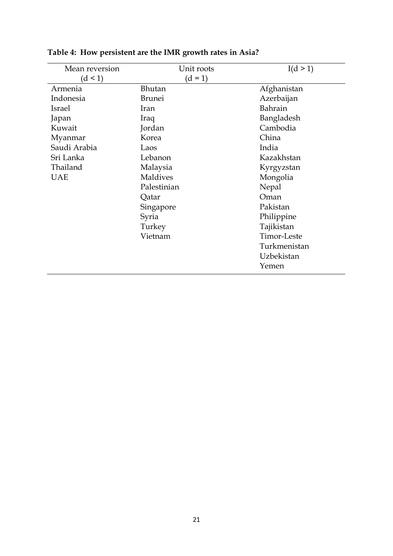| Mean reversion | Unit roots    | I(d > 1)     |
|----------------|---------------|--------------|
| (d < 1)        | $(d = 1)$     |              |
| Armenia        | Bhutan        | Afghanistan  |
| Indonesia      | <b>Brunei</b> | Azerbaijan   |
| Israel         | Iran          | Bahrain      |
| Japan          | Iraq          | Bangladesh   |
| Kuwait         | Jordan        | Cambodia     |
| Myanmar        | Korea         | China        |
| Saudi Arabia   | Laos          | India        |
| Sri Lanka      | Lebanon       | Kazakhstan   |
| Thailand       | Malaysia      | Kyrgyzstan   |
| UAE            | Maldives      | Mongolia     |
|                | Palestinian   | Nepal        |
|                | Qatar         | Oman         |
|                | Singapore     | Pakistan     |
|                | Syria         | Philippine   |
|                | Turkey        | Tajikistan   |
|                | Vietnam       | Timor-Leste  |
|                |               | Turkmenistan |
|                |               | Uzbekistan   |
|                |               | Yemen        |

# **Table 4: How persistent are the IMR growth rates in Asia?**